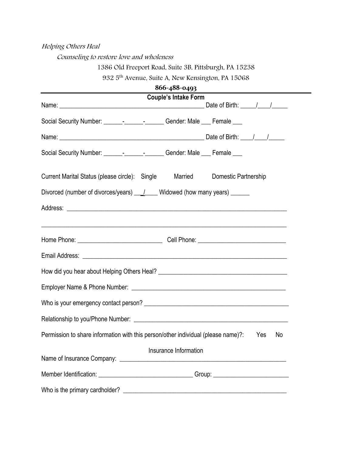## Helping Others Heal

Counseling to restore love and wholeness

# 1386 Old Freeport Road, Suite 3B, Pittsburgh, PA 15238

932 5th Avenue, Suite A, New Kensington, PA 15068

| 866-488-0493                                                                                                   |
|----------------------------------------------------------------------------------------------------------------|
| <b>Couple's Intake Form</b>                                                                                    |
| Social Security Number: __________________________Gender: Male ____ Female ____                                |
|                                                                                                                |
| Social Security Number: __________________________Gender: Male ____ Female ____                                |
| Current Marital Status (please circle): Single Married<br>Domestic Partnership                                 |
| Divorced (number of divorces/years) ___ /____ Widowed (how many years) ______                                  |
|                                                                                                                |
| ,我们也不能在这里的时候,我们也不能在这里的时候,我们也不能会在这里,我们也不能会不能会不能会不能会不能会不能会。""我们,我们也不能会不能会不能会不能会不能会                               |
|                                                                                                                |
|                                                                                                                |
|                                                                                                                |
|                                                                                                                |
|                                                                                                                |
|                                                                                                                |
| Permission to share information with this person/other individual (please name)?:<br><b>Press</b><br><b>No</b> |
| Insurance Information                                                                                          |
| Member Identification: ___________________________________Group: ________________                              |
|                                                                                                                |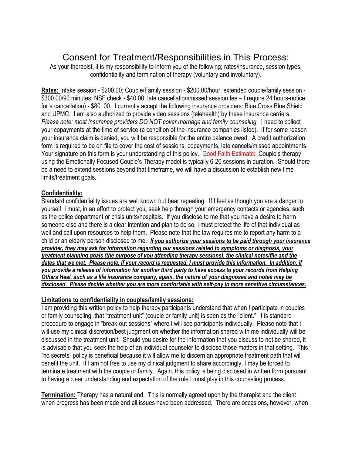# Consent for Treatment/Responsibilities in This Process:

As your therapist, it is my responsibility to inform you of the following; rates/insurance, session types, confidentiality and termination of therapy (voluntary and involuntary).

**Rates:** Intake session - \$200.00; Couple/Family session - \$200.00/hour; extended couple/family session - \$300.00/90 minutes; NSF check - \$40.00; late cancellation/missed session fee – I require 24 hours-notice for a cancellation) - \$80. 00. I currently accept the following insurance providers: Blue Cross Blue Shield and UPMC. I am also authorized to provide video sessions (telehealth) by these insurance carriers. *Please note: most insurance providers DO NOT cover marriage and family counseling.* I need to collect your copayments at the time of service (a condition of the insurance companies listed). If for some reason your insurance claim is denied, you will be responsible for the entire balance owed. A credit authorization form is required to be on file to cover the cost of sessions, copayments, late cancels/missed appointments. Your signature on this form is your understanding of this policy. Good Faith Estimate: Couple's therapy using the Emotionally Focused Couple's Therapy model is typically 6-20 sessions in duration. Should there be a need to extend sessions beyond that timeframe, we will have a discussion to establish new time limits/treatment goals.

#### **Confidentiality:**

Standard confidentiality issues are well known but bear repeating. If I feel as though you are a danger to yourself, I must, in an effort to protect you, seek help through your emergency contacts or agencies, such as the police department or crisis units/hospitals. If you disclose to me that you have a desire to harm someone else and there is a clear intention and plan to do so, I must protect the life of that individual as well and call upon resources to help them. Please note that the law requires me to report any harm to a child or an elderly person disclosed to me. *If you authorize your sessions to be paid through your insurance provider, they may ask for information regarding our sessions related to symptoms or diagnosis, your treatment planning goals (the purpose of you attending therapy sessions). the clinical notes/file and the dates that we met. Please note, if your record is requested, I must provide this information. In addition, if you provide a release of information for another third party to have access to your records from Helping Others Heal, such as a life insurance company, again, the nature of your diagnoses and notes may be disclosed. Please decide whether you are more comfortable with self-pay in more sensitive circumstances.* 

### **Limitations to confidentiality in couples/family sessions:**

I am providing this written policy to help therapy participants understand that when I participate in couples or family counseling, that "treatment unit" (couple or family unit) is seen as the "client." It is standard procedure to engage in "break-out sessions" where I will see participants individually. Please note that I will use my clinical discretion/best judgment on whether the information shared with me individually will be discussed in the treatment unit. Should you desire for the information that you discuss to not be shared, it is advisable that you seek the help of an individual counselor to disclose those matters in that setting. This "no secrets" policy is beneficial because it will allow me to discern an appropriate treatment path that will benefit the unit. If I am not free to use my clinical judgment to share accordingly, I may be forced to terminate treatment with the couple or family. Again, this policy is being disclosed in written form pursuant to having a clear understanding and expectation of the role I must play in this counseling process.

**Termination:** Therapy has a natural end. This is normally agreed upon by the therapist and the client when progress has been made and all issues have been addressed. There are occasions, however, when